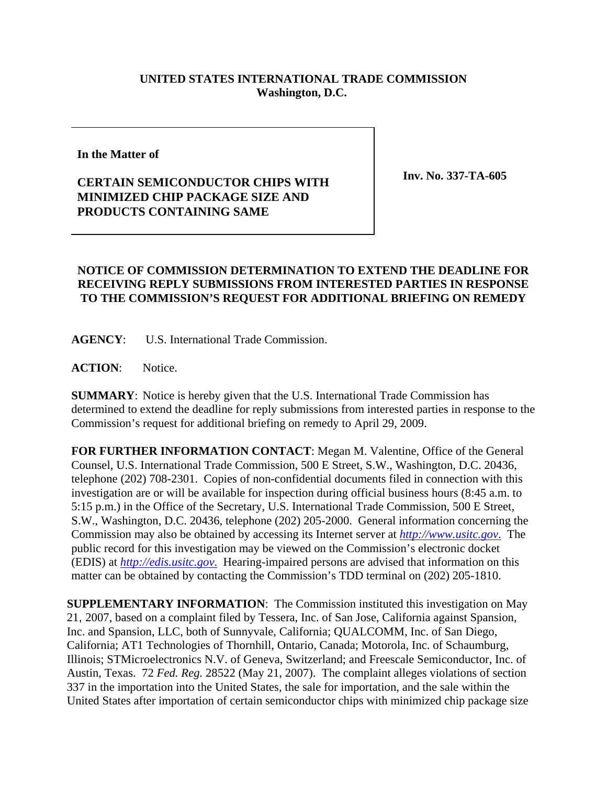## **UNITED STATES INTERNATIONAL TRADE COMMISSION Washington, D.C.**

**In the Matter of** 

## **CERTAIN SEMICONDUCTOR CHIPS WITH MINIMIZED CHIP PACKAGE SIZE AND PRODUCTS CONTAINING SAME**

**Inv. No. 337-TA-605**

## **NOTICE OF COMMISSION DETERMINATION TO EXTEND THE DEADLINE FOR RECEIVING REPLY SUBMISSIONS FROM INTERESTED PARTIES IN RESPONSE TO THE COMMISSION'S REQUEST FOR ADDITIONAL BRIEFING ON REMEDY**

**AGENCY**: U.S. International Trade Commission.

**ACTION**: Notice.

**SUMMARY**: Notice is hereby given that the U.S. International Trade Commission has determined to extend the deadline for reply submissions from interested parties in response to the Commission's request for additional briefing on remedy to April 29, 2009.

**FOR FURTHER INFORMATION CONTACT**: Megan M. Valentine, Office of the General Counsel, U.S. International Trade Commission, 500 E Street, S.W., Washington, D.C. 20436, telephone (202) 708-2301. Copies of non-confidential documents filed in connection with this investigation are or will be available for inspection during official business hours (8:45 a.m. to 5:15 p.m.) in the Office of the Secretary, U.S. International Trade Commission, 500 E Street, S.W., Washington, D.C. 20436, telephone (202) 205-2000. General information concerning the Commission may also be obtained by accessing its Internet server at *http://www.usitc.gov*. The public record for this investigation may be viewed on the Commission's electronic docket (EDIS) at *http://edis.usitc.gov*. Hearing-impaired persons are advised that information on this matter can be obtained by contacting the Commission's TDD terminal on (202) 205-1810.

**SUPPLEMENTARY INFORMATION**: The Commission instituted this investigation on May 21, 2007, based on a complaint filed by Tessera, Inc. of San Jose, California against Spansion, Inc. and Spansion, LLC, both of Sunnyvale, California; QUALCOMM, Inc. of San Diego, California; AT1 Technologies of Thornhill, Ontario, Canada; Motorola, Inc. of Schaumburg, Illinois; STMicroelectronics N.V. of Geneva, Switzerland; and Freescale Semiconductor, Inc. of Austin, Texas. 72 *Fed. Reg.* 28522 (May 21, 2007). The complaint alleges violations of section 337 in the importation into the United States, the sale for importation, and the sale within the United States after importation of certain semiconductor chips with minimized chip package size